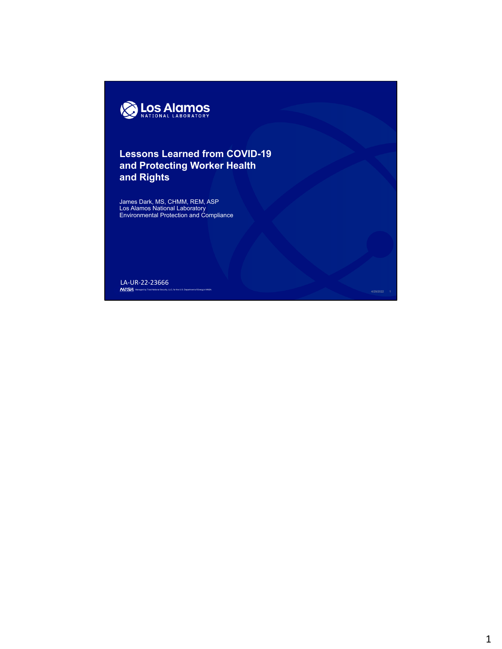

## **Lessons Learned from COVID-19 and Protecting Worker Health and Rights**

James Dark, MS, CHMM, REM, ASP Los Alamos National Laboratory Environmental Protection and Compliance

Managed by Triad National Security, LLC, for the U.S. Department of Energy's NNSA. And the U.S. Department of Energy's NNSA. And the U.S. Department of Energy's NNSA. LA‐UR‐22‐23666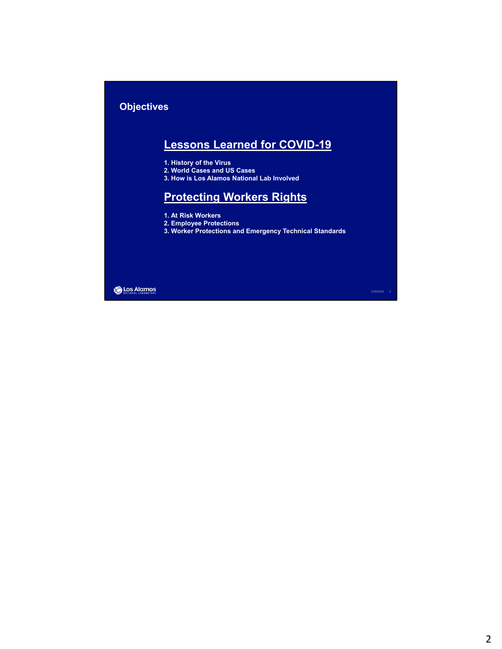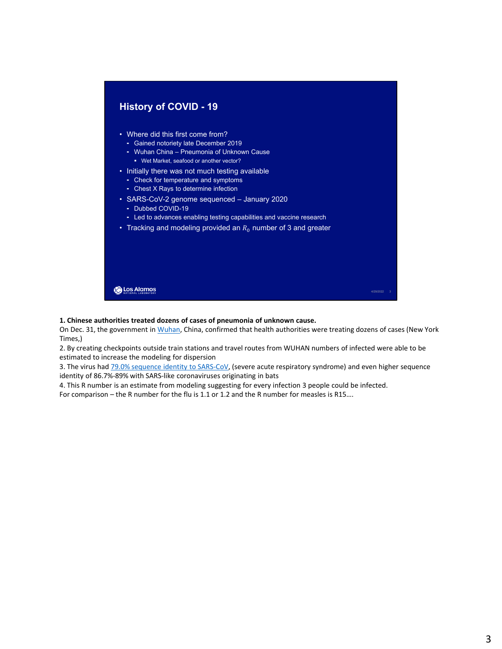

## **1. Chinese authorities treated dozens of cases of pneumonia of unknown cause.**

On Dec. 31, the government in Wuhan, China, confirmed that health authorities were treating dozens of cases (New York Times,)

2. By creating checkpoints outside train stations and travel routes from WUHAN numbers of infected were able to be estimated to increase the modeling for dispersion

3. The virus had 79.0% sequence identity to SARS-CoV, (severe acute respiratory syndrome) and even higher sequence identity of 86.7%‐89% with SARS‐like coronaviruses originating in bats

4. This R number is an estimate from modeling suggesting for every infection 3 people could be infected.

For comparison – the R number for the flu is 1.1 or 1.2 and the R number for measles is R15….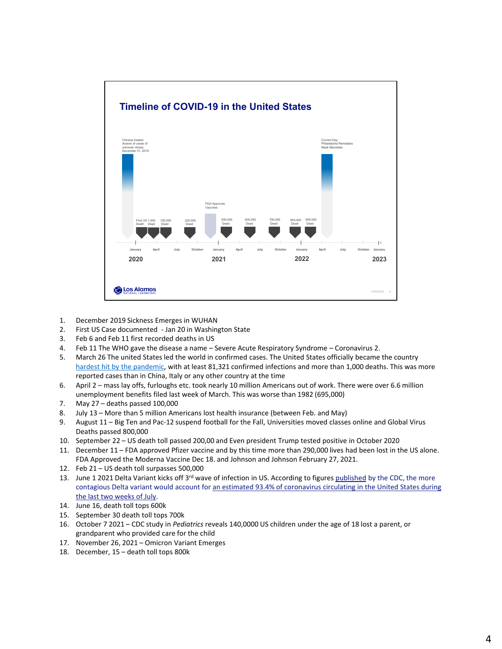

- 1. December 2019 Sickness Emerges in WUHAN
- 2. First US Case documented ‐ Jan 20 in Washington State
- 3. Feb 6 and Feb 11 first recorded deaths in US
- 4. Feb 11 The WHO gave the disease a name Severe Acute Respiratory Syndrome Coronavirus 2.
- 5. March 26 The united States led the world in confirmed cases. The United States officially became the country hardest hit by the pandemic, with at least 81,321 confirmed infections and more than 1,000 deaths. This was more reported cases than in China, Italy or any other country at the time
- 6. April 2 mass lay offs, furloughs etc. took nearly 10 million Americans out of work. There were over 6.6 million unemployment benefits filed last week of March. This was worse than 1982 (695,000)
- 7. May 27 deaths passed 100,000
- 8. July 13 More than 5 million Americans lost health insurance (between Feb. and May)
- 9. August 11 Big Ten and Pac-12 suspend football for the Fall, Universities moved classes online and Global Virus Deaths passed 800,000
- 10. September 22 US death toll passed 200,00 and Even president Trump tested positive in October 2020
- 11. December 11 FDA approved Pfizer vaccine and by this time more than 290,000 lives had been lost in the US alone. FDA Approved the Moderna Vaccine Dec 18. and Johnson and Johnson February 27, 2021.
- 12. Feb 21 US death toll surpasses 500,000
- 13. June 1 2021 Delta Variant kicks off 3<sup>rd</sup> wave of infection in US. According to figures published by the CDC, the more contagious Delta variant would account for an estimated 93.4% of coronavirus circulating in the United States during the last two weeks of July.
- 14. June 16, death toll tops 600k
- 15. September 30 death toll tops 700k
- 16. October 7 2021 CDC study in *Pediatrics* reveals 140,0000 US children under the age of 18 lost a parent, or grandparent who provided care for the child
- 17. November 26, 2021 Omicron Variant Emerges
- 18. December, 15 death toll tops 800k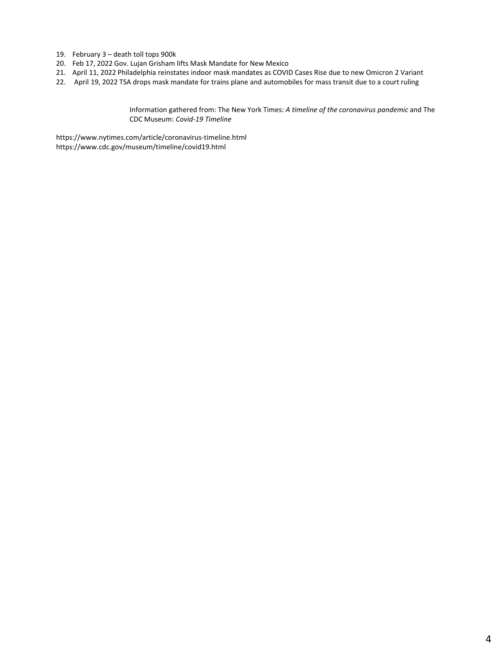- 19. February 3 death toll tops 900k
- 20. Feb 17, 2022 Gov. Lujan Grisham lifts Mask Mandate for New Mexico
- 21. April 11, 2022 Philadelphia reinstates indoor mask mandates as COVID Cases Rise due to new Omicron 2 Variant
- 22. April 19, 2022 TSA drops mask mandate for trains plane and automobiles for mass transit due to a court ruling

Information gathered from: The New York Times: *A timeline of the coronavirus pandemic* and The CDC Museum: *Covid‐19 Timeline*

https://www.nytimes.com/article/coronavirus‐timeline.html https://www.cdc.gov/museum/timeline/covid19.html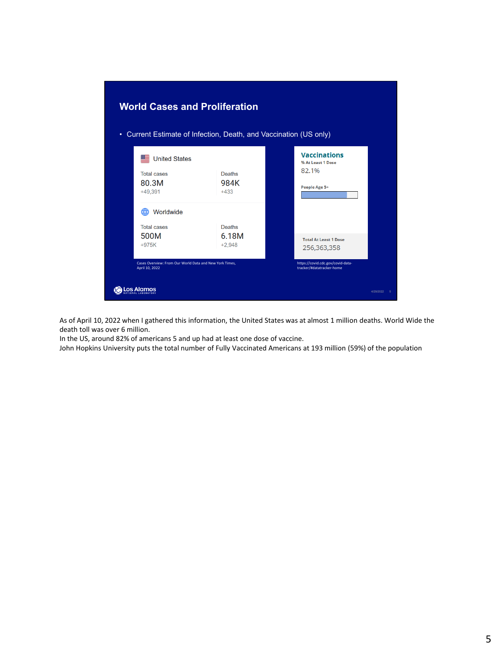

As of April 10, 2022 when I gathered this information, the United States was at almost 1 million deaths. World Wide the death toll was over 6 million.

In the US, around 82% of americans 5 and up had at least one dose of vaccine.

John Hopkins University puts the total number of Fully Vaccinated Americans at 193 million (59%) of the population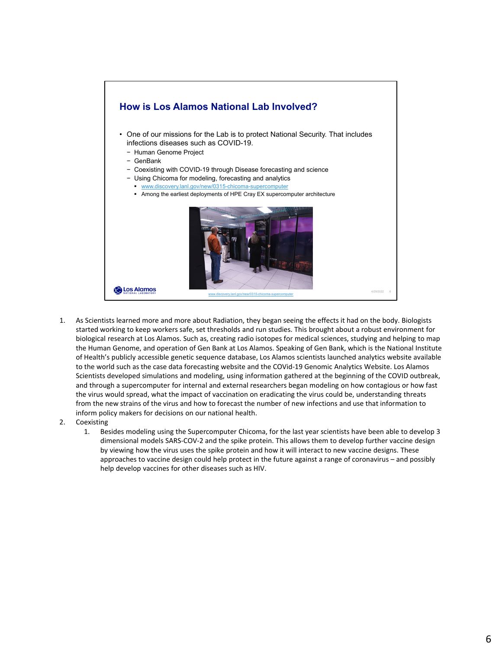

- 1. As Scientists learned more and more about Radiation, they began seeing the effects it had on the body. Biologists started working to keep workers safe, set thresholds and run studies. This brought about a robust environment for biological research at Los Alamos. Such as, creating radio isotopes for medical sciences, studying and helping to map the Human Genome, and operation of Gen Bank at Los Alamos. Speaking of Gen Bank, which is the National Institute of Health's publicly accessible genetic sequence database, Los Alamos scientists launched analytics website available to the world such as the case data forecasting website and the COVid‐19 Genomic Analytics Website. Los Alamos Scientists developed simulations and modeling, using information gathered at the beginning of the COVID outbreak, and through a supercomputer for internal and external researchers began modeling on how contagious or how fast the virus would spread, what the impact of vaccination on eradicating the virus could be, understanding threats from the new strains of the virus and how to forecast the number of new infections and use that information to inform policy makers for decisions on our national health.
- 2. Coexisting
	- 1. Besides modeling using the Supercomputer Chicoma, for the last year scientists have been able to develop 3 dimensional models SARS‐COV‐2 and the spike protein. This allows them to develop further vaccine design by viewing how the virus uses the spike protein and how it will interact to new vaccine designs. These approaches to vaccine design could help protect in the future against a range of coronavirus – and possibly help develop vaccines for other diseases such as HIV.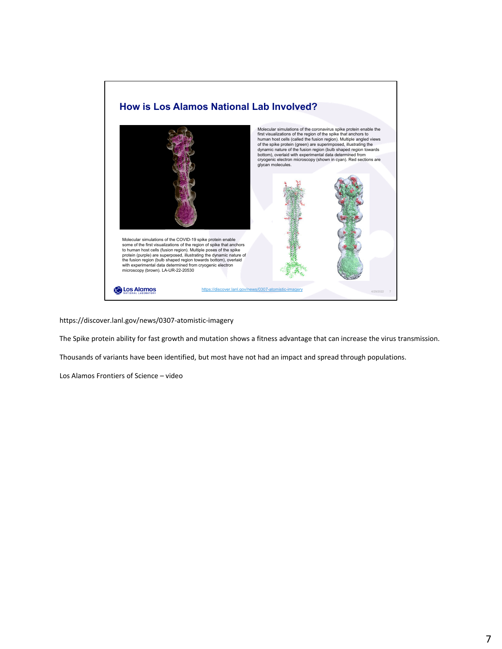

https://discover.lanl.gov/news/0307‐atomistic‐imagery

The Spike protein ability for fast growth and mutation shows a fitness advantage that can increase the virus transmission.

Thousands of variants have been identified, but most have not had an impact and spread through populations.

Los Alamos Frontiers of Science – video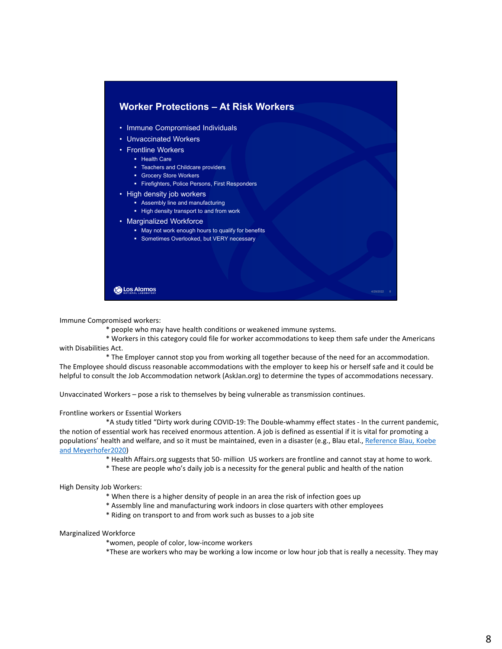

Immune Compromised workers:

\* people who may have health conditions or weakened immune systems.

\* Workers in this category could file for worker accommodations to keep them safe under the Americans with Disabilities Act.

\* The Employer cannot stop you from working all together because of the need for an accommodation. The Employee should discuss reasonable accommodations with the employer to keep his or herself safe and it could be helpful to consult the Job Accommodation network (AskJan.org) to determine the types of accommodations necessary.

Unvaccinated Workers – pose a risk to themselves by being vulnerable as transmission continues.

## Frontline workers or Essential Workers

\*A study titled "Dirty work during COVID‐19: The Double‐whammy effect states ‐ In the current pandemic, the notion of essential work has received enormous attention. A job is defined as essential if it is vital for promoting a populations' health and welfare, and so it must be maintained, even in a disaster (e.g., Blau etal., Reference Blau, Koebe and Meyerhofer2020)

- \* Health Affairs.org suggests that 50‐ million US workers are frontline and cannot stay at home to work.
- \* These are people who's daily job is a necessity for the general public and health of the nation

High Density Job Workers:

- \* When there is a higher density of people in an area the risk of infection goes up
- \* Assembly line and manufacturing work indoors in close quarters with other employees
- \* Riding on transport to and from work such as busses to a job site

## Marginalized Workforce

\*women, people of color, low‐income workers

\*These are workers who may be working a low income or low hour job that is really a necessity. They may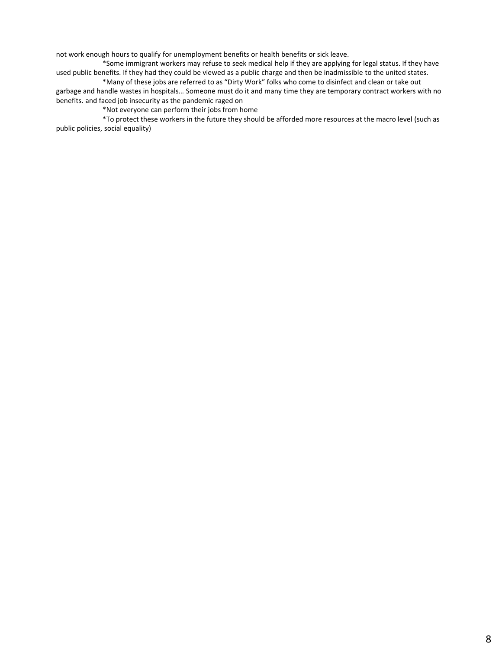not work enough hours to qualify for unemployment benefits or health benefits or sick leave.

\*Some immigrant workers may refuse to seek medical help if they are applying for legal status. If they have used public benefits. If they had they could be viewed as a public charge and then be inadmissible to the united states.

\*Many of these jobs are referred to as "Dirty Work" folks who come to disinfect and clean or take out garbage and handle wastes in hospitals… Someone must do it and many time they are temporary contract workers with no benefits. and faced job insecurity as the pandemic raged on

\*Not everyone can perform their jobs from home

\*To protect these workers in the future they should be afforded more resources at the macro level (such as public policies, social equality)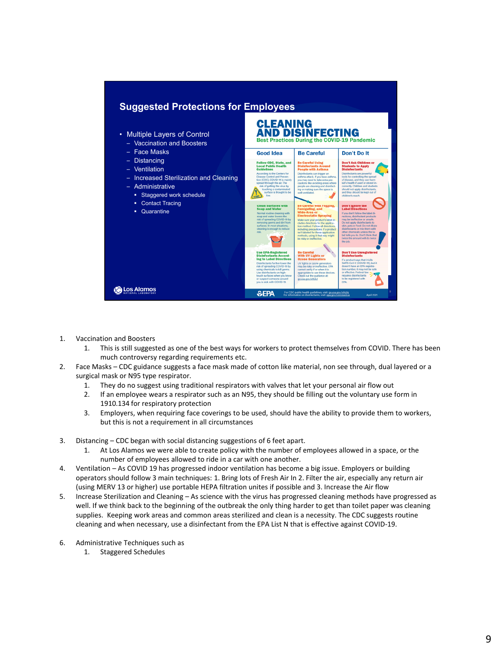

- 1. Vaccination and Boosters
	- 1. This is still suggested as one of the best ways for workers to protect themselves from COVID. There has been much controversy regarding requirements etc.
- 2. Face Masks CDC guidance suggests a face mask made of cotton like material, non see through, dual layered or a surgical mask or N95 type respirator.
	- 1. They do no suggest using traditional respirators with valves that let your personal air flow out
	- 2. If an employee wears a respirator such as an N95, they should be filling out the voluntary use form in 1910.134 for respiratory protection
	- 3. Employers, when requiring face coverings to be used, should have the ability to provide them to workers, but this is not a requirement in all circumstances
- 3. Distancing CDC began with social distancing suggestions of 6 feet apart.
	- 1. At Los Alamos we were able to create policy with the number of employees allowed in a space, or the number of employees allowed to ride in a car with one another.
- 4. Ventilation As COVID 19 has progressed indoor ventilation has become a big issue. Employers or building operators should follow 3 main techniques: 1. Bring lots of Fresh Air In 2. Filter the air, especially any return air (using MERV 13 or higher) use portable HEPA filtration unites if possible and 3. Increase the Air flow
- 5. Increase Sterilization and Cleaning As science with the virus has progressed cleaning methods have progressed as well. If we think back to the beginning of the outbreak the only thing harder to get than toilet paper was cleaning supplies. Keeping work areas and common areas sterilized and clean is a necessity. The CDC suggests routine cleaning and when necessary, use a disinfectant from the EPA List N that is effective against COVID‐19.
- 6. Administrative Techniques such as
	- 1. Staggered Schedules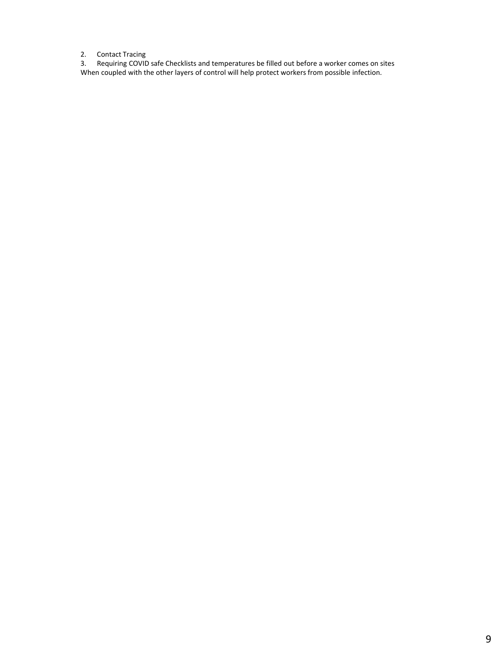2. Contact Tracing

3. Requiring COVID safe Checklists and temperatures be filled out before a worker comes on sites When coupled with the other layers of control will help protect workers from possible infection.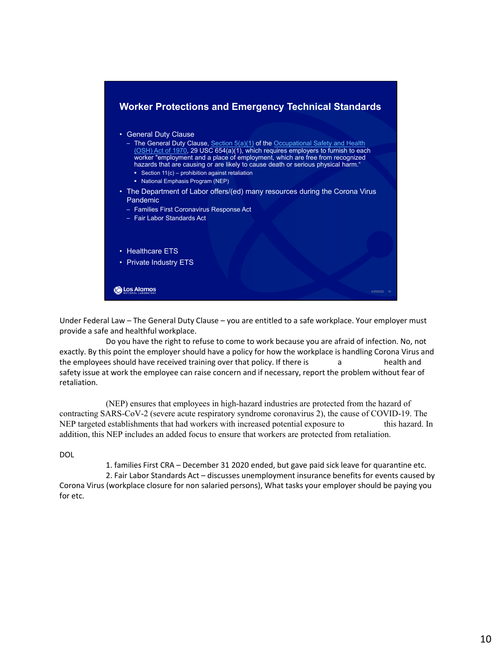

Under Federal Law – The General Duty Clause – you are entitled to a safe workplace. Your employer must provide a safe and healthful workplace.

Do you have the right to refuse to come to work because you are afraid of infection. No, not exactly. By this point the employer should have a policy for how the workplace is handling Corona Virus and the employees should have received training over that policy. If there is a health and safety issue at work the employee can raise concern and if necessary, report the problem without fear of retaliation.

(NEP) ensures that employees in high-hazard industries are protected from the hazard of contracting SARS-CoV-2 (severe acute respiratory syndrome coronavirus 2), the cause of COVID-19. The NEP targeted establishments that had workers with increased potential exposure to this hazard. In addition, this NEP includes an added focus to ensure that workers are protected from retaliation.

DOL

1. families First CRA – December 31 2020 ended, but gave paid sick leave for quarantine etc.

2. Fair Labor Standards Act – discusses unemployment insurance benefits for events caused by Corona Virus (workplace closure for non salaried persons), What tasks your employer should be paying you for etc.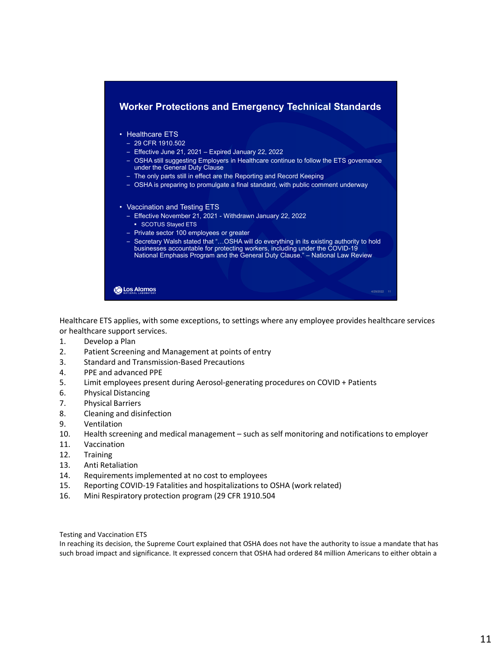

Healthcare ETS applies, with some exceptions, to settings where any employee provides healthcare services or healthcare support services.

- 1. Develop a Plan
- 2. Patient Screening and Management at points of entry
- 3. Standard and Transmission‐Based Precautions
- 4. PPE and advanced PPE
- 5. Limit employees present during Aerosol-generating procedures on COVID + Patients
- 6. Physical Distancing
- 7. Physical Barriers
- 8. Cleaning and disinfection
- 9. Ventilation
- 10. Health screening and medical management such as self monitoring and notifications to employer
- 11. Vaccination
- 12. Training
- 13. Anti Retaliation
- 14. Requirements implemented at no cost to employees
- 15. Reporting COVID‐19 Fatalities and hospitalizations to OSHA (work related)
- 16. Mini Respiratory protection program (29 CFR 1910.504

Testing and Vaccination ETS

In reaching its decision, the Supreme Court explained that OSHA does not have the authority to issue a mandate that has such broad impact and significance. It expressed concern that OSHA had ordered 84 million Americans to either obtain a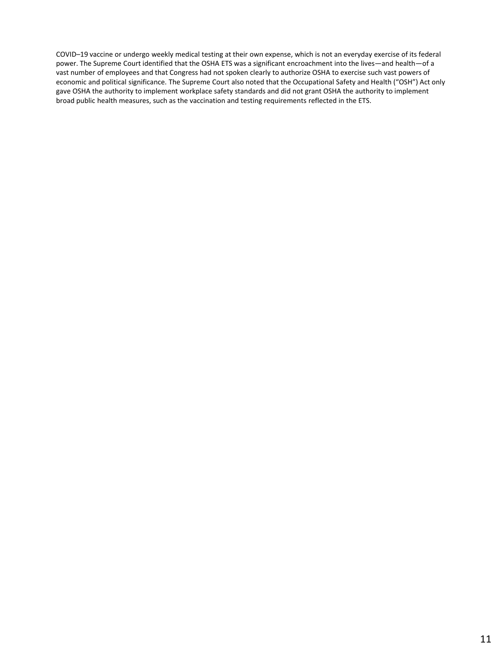COVID–19 vaccine or undergo weekly medical testing at their own expense, which is not an everyday exercise of its federal power. The Supreme Court identified that the OSHA ETS was a significant encroachment into the lives—and health—of a vast number of employees and that Congress had not spoken clearly to authorize OSHA to exercise such vast powers of economic and political significance. The Supreme Court also noted that the Occupational Safety and Health ("OSH") Act only gave OSHA the authority to implement workplace safety standards and did not grant OSHA the authority to implement broad public health measures, such as the vaccination and testing requirements reflected in the ETS.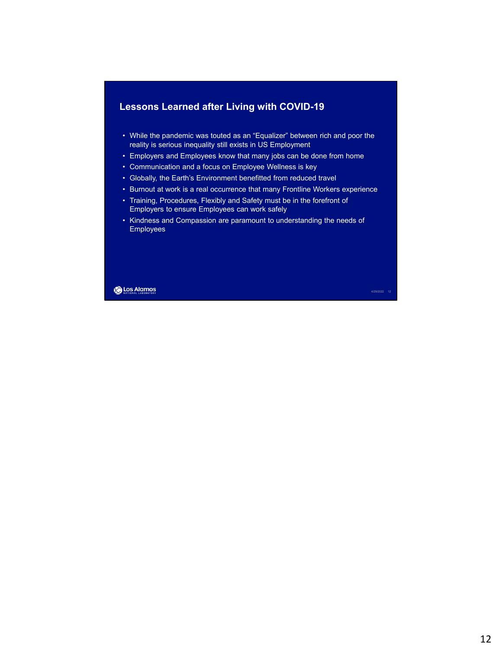

- While the pandemic was touted as an "Equalizer" between rich and poor the reality is serious inequality still exists in US Employment
- Employers and Employees know that many jobs can be done from home
- Communication and a focus on Employee Wellness is key
- Globally, the Earth's Environment benefitted from reduced travel
- Burnout at work is a real occurrence that many Frontline Workers experience
- Training, Procedures, Flexibly and Safety must be in the forefront of Employers to ensure Employees can work safely
- Kindness and Compassion are paramount to understanding the needs of Employees

**Los Alamos** 

4/29/2022 12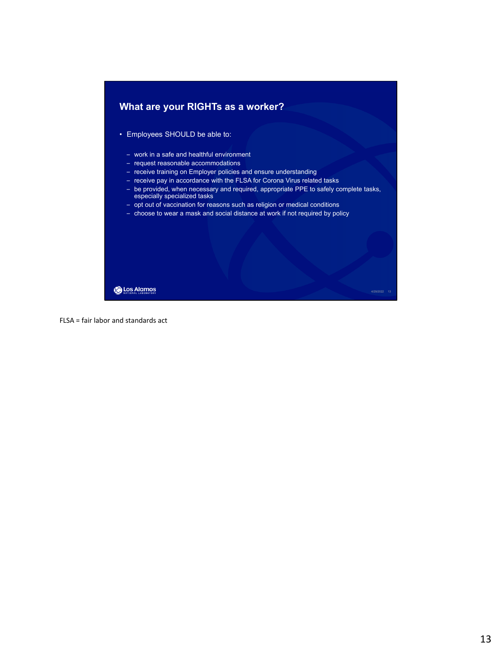

FLSA = fair labor and standards act